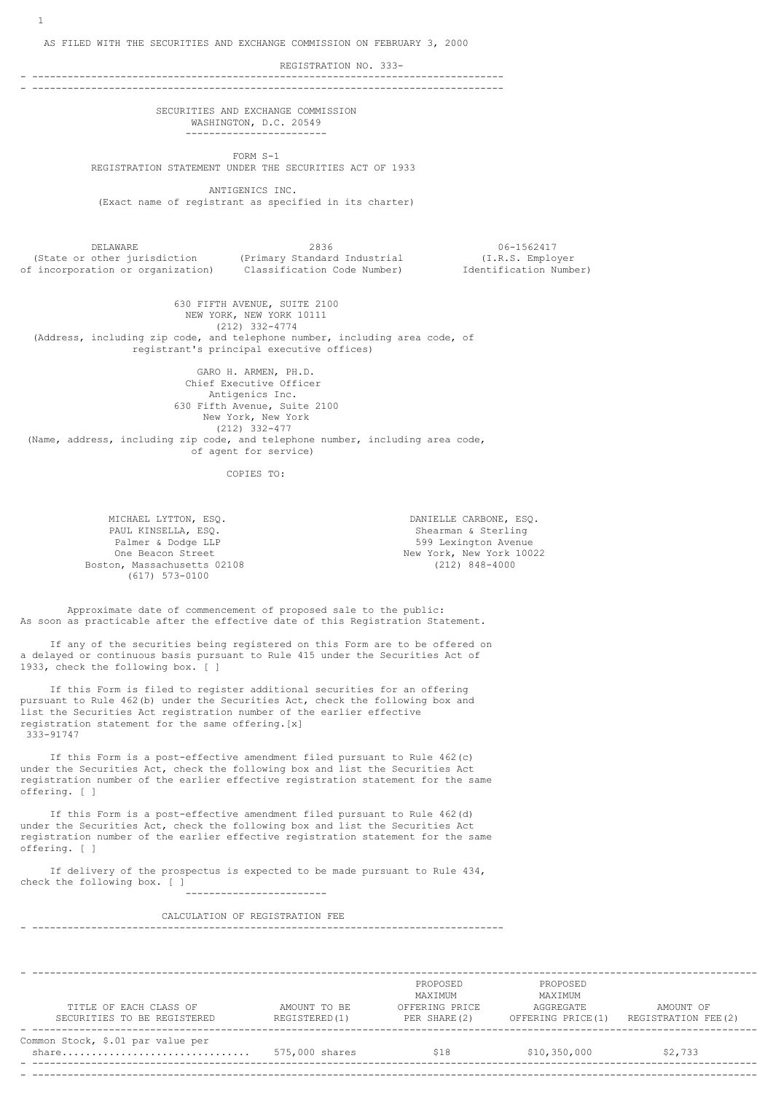AS FILED WITH THE SECURITIES AND EXCHANGE COMMISSION ON FEBRUARY 3, 2000

REGISTRATION NO. 333-

- -------------------------------------------------------------------------------- - --------------------------------------------------------------------------------

> SECURITIES AND EXCHANGE COMMISSION WASHINGTON, D.C. 20549 ------------------------

 FORM S-1 REGISTRATION STATEMENT UNDER THE SECURITIES ACT OF 1933

 ANTIGENICS INC. (Exact name of registrant as specified in its charter)

 DELAWARE 2836 06-1562417 (State or other jurisdiction (Primary Standard Industrial (I.R.S. Employer of incorporation or organization) Classification Code Number) Identification Number)

 630 FIFTH AVENUE, SUITE 2100 NEW YORK, NEW YORK 10111 (212) 332-4774 (Address, including zip code, and telephone number, including area code, of registrant's principal executive offices)

> GARO H. ARMEN, PH.D. Chief Executive Officer Antigenics Inc. 630 Fifth Avenue, Suite 2100 New York, New York (212) 332-477

 (Name, address, including zip code, and telephone number, including area code, of agent for service)

COPIES TO:

MICHAEL LYTTON, ESQ.<br>
PAUL KINSELLA, ESO.<br>
PAUL KINSELLA, ESO. PAUL KINSELLA, ESQ. Shearman & Sterling Boston, Massachusetts 02108 (617) 573-0100

599 Lexington Avenue One Beacon Street 1988 (New York, New York 10022<br>
One Beacon Street 102108 (212) 848-4000

 Approximate date of commencement of proposed sale to the public: As soon as practicable after the effective date of this Registration Statement.

 If any of the securities being registered on this Form are to be offered on a delayed or continuous basis pursuant to Rule 415 under the Securities Act of 1933, check the following box. [ ]

 If this Form is filed to register additional securities for an offering pursuant to Rule 462(b) under the Securities Act, check the following box and list the Securities Act registration number of the earlier effective registration statement for the same offering.[x] 333-91747

 If this Form is a post-effective amendment filed pursuant to Rule 462(c) under the Securities Act, check the following box and list the Securities Act registration number of the earlier effective registration statement for the same offering. [ ]

 If this Form is a post-effective amendment filed pursuant to Rule 462(d) under the Securities Act, check the following box and list the Securities Act registration number of the earlier effective registration statement for the same offering. [ ]

 If delivery of the prospectus is expected to be made pursuant to Rule 434, check the following box. [ ] ------------------------

CALCULATION OF REGISTRATION FEE

- --------------------------------------------------------------------------------

| TITLE OF EACH CLASS OF<br>SECURITIES TO BE REGISTERED | AMOUNT TO BE<br>REGISTERED(1) | PROPOSED<br>MAXIMUM<br>OFFERING PRICE<br>PER SHARE (2) | PROPOSED<br>MAXTMUM<br>AGGREGATE<br>OFFERING PRICE (1) | AMOUNT OF<br>REGISTRATION FEE (2) |
|-------------------------------------------------------|-------------------------------|--------------------------------------------------------|--------------------------------------------------------|-----------------------------------|
| Common Stock, \$.01 par value per<br>share            | 575,000 shares                | \$18                                                   | \$10,350,000                                           | \$2,733                           |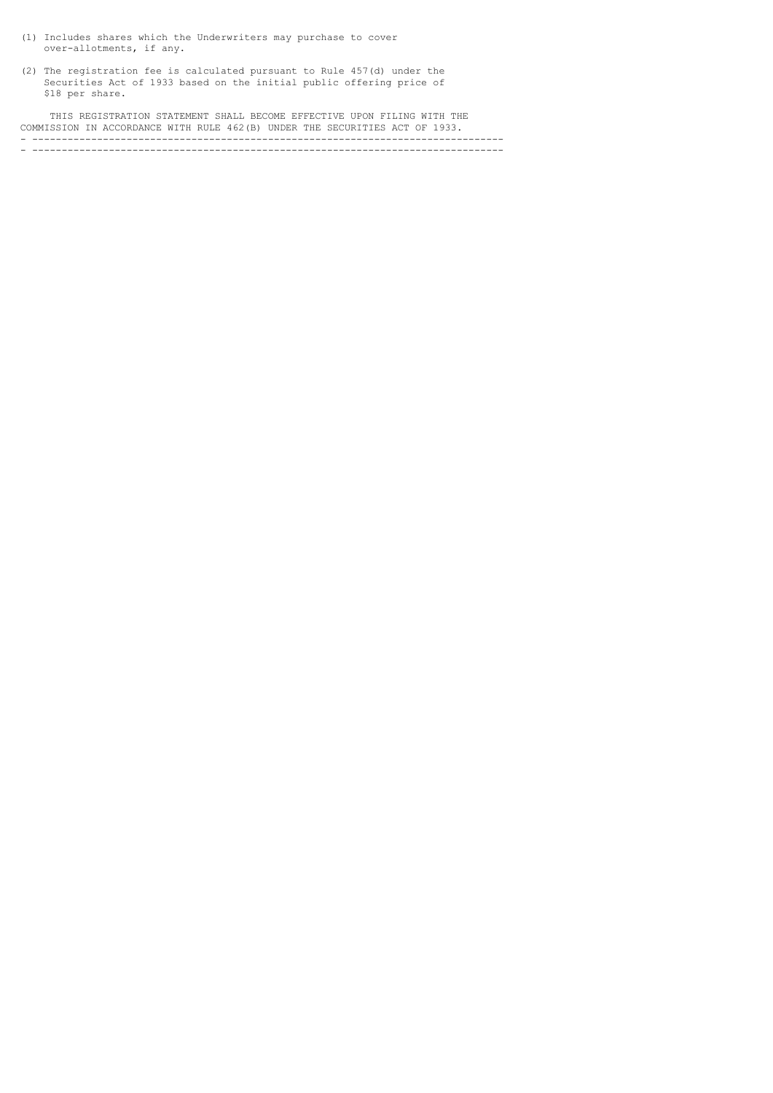- (1) Includes shares which the Underwriters may purchase to cover over-allotments, if any.
- (2) The registration fee is calculated pursuant to Rule 457(d) under the Securities Act of 1933 based on the initial public offering price of \$18 per share.

 THIS REGISTRATION STATEMENT SHALL BECOME EFFECTIVE UPON FILING WITH THE COMMISSION IN ACCORDANCE WITH RULE 462(B) UNDER THE SECURITIES ACT OF 1933. - -------------------------------------------------------------------------------- - --------------------------------------------------------------------------------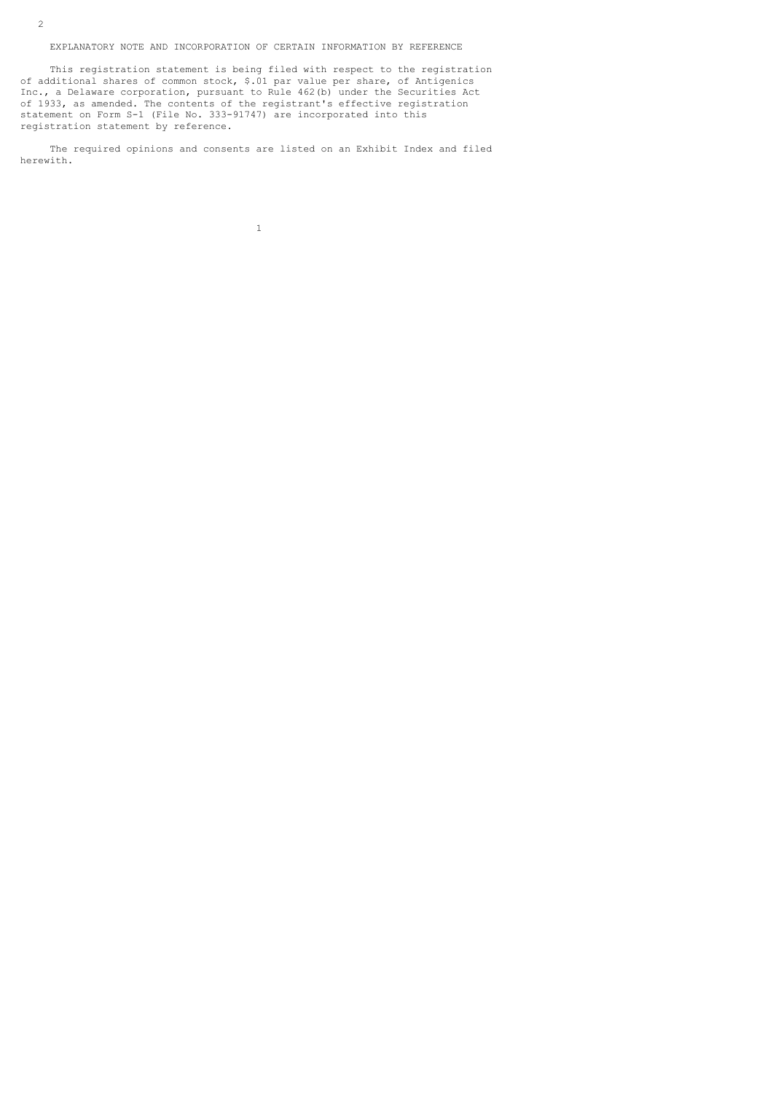EXPLANATORY NOTE AND INCORPORATION OF CERTAIN INFORMATION BY REFERENCE

 This registration statement is being filed with respect to the registration of additional shares of common stock, \$.01 par value per share, of Antigenics Inc., a Delaware corporation, pursuant to Rule 462(b) under the Securities Act of 1933, as amended. The contents of the registrant's effective registration statement on Form S-1 (File No. 333-91747) are incorporated into this registration statement by reference.

 The required opinions and consents are listed on an Exhibit Index and filed herewith.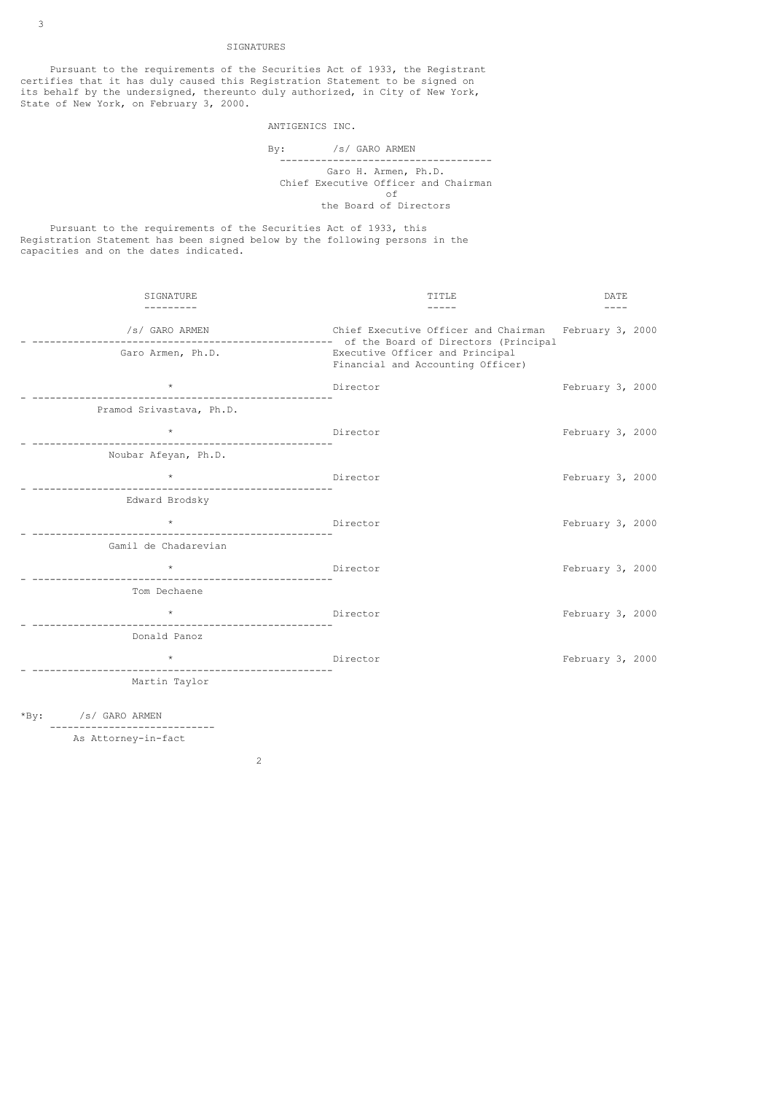## SIGNATURES

 Pursuant to the requirements of the Securities Act of 1933, the Registrant certifies that it has duly caused this Registration Statement to be signed on its behalf by the undersigned, thereunto duly authorized, in City of New York, State of New York, on February 3, 2000.

## ANTIGENICS INC.

 By: /s/ GARO ARMEN ------------------------------------ Garo H. Armen, Ph.D. Chief Executive Officer and Chairman<br>
of of the contract of the contract of the contract of the contract of the contract of the contract of the contract of the contract of the contract of the contract of the contract of the contract of the contract of the contrac the Board of Directors

 Pursuant to the requirements of the Securities Act of 1933, this Registration Statement has been signed below by the following persons in the capacities and on the dates indicated.

| SIGNATURE                           | TTTLE.                                                                                                                        | DATE             |
|-------------------------------------|-------------------------------------------------------------------------------------------------------------------------------|------------------|
| /s/ GARO ARMEN<br>Garo Armen, Ph.D. | Chief Executive Officer and Chairman February 3, 2000<br>Executive Officer and Principal<br>Financial and Accounting Officer) |                  |
|                                     | Director                                                                                                                      | February 3, 2000 |
| Pramod Srivastava, Ph.D.            |                                                                                                                               |                  |
|                                     | Director                                                                                                                      | February 3, 2000 |
| Noubar Afeyan, Ph.D.                |                                                                                                                               |                  |
|                                     | Director                                                                                                                      | February 3, 2000 |
| Edward Brodsky                      |                                                                                                                               |                  |
|                                     | Director                                                                                                                      | February 3, 2000 |
| Gamil de Chadarevian                |                                                                                                                               |                  |
|                                     | Director                                                                                                                      | February 3, 2000 |
| Tom Dechaene                        |                                                                                                                               |                  |
| $\star$ $\rightarrow$               | Director                                                                                                                      | February 3, 2000 |
| Donald Panoz                        |                                                                                                                               |                  |
| $\star$ $\star$                     | Director                                                                                                                      | February 3, 2000 |
| Martin Taylor                       |                                                                                                                               |                  |
|                                     |                                                                                                                               |                  |

\*By: /s/ GARO ARMEN ----------------------------

 As Attorney-in-fact 2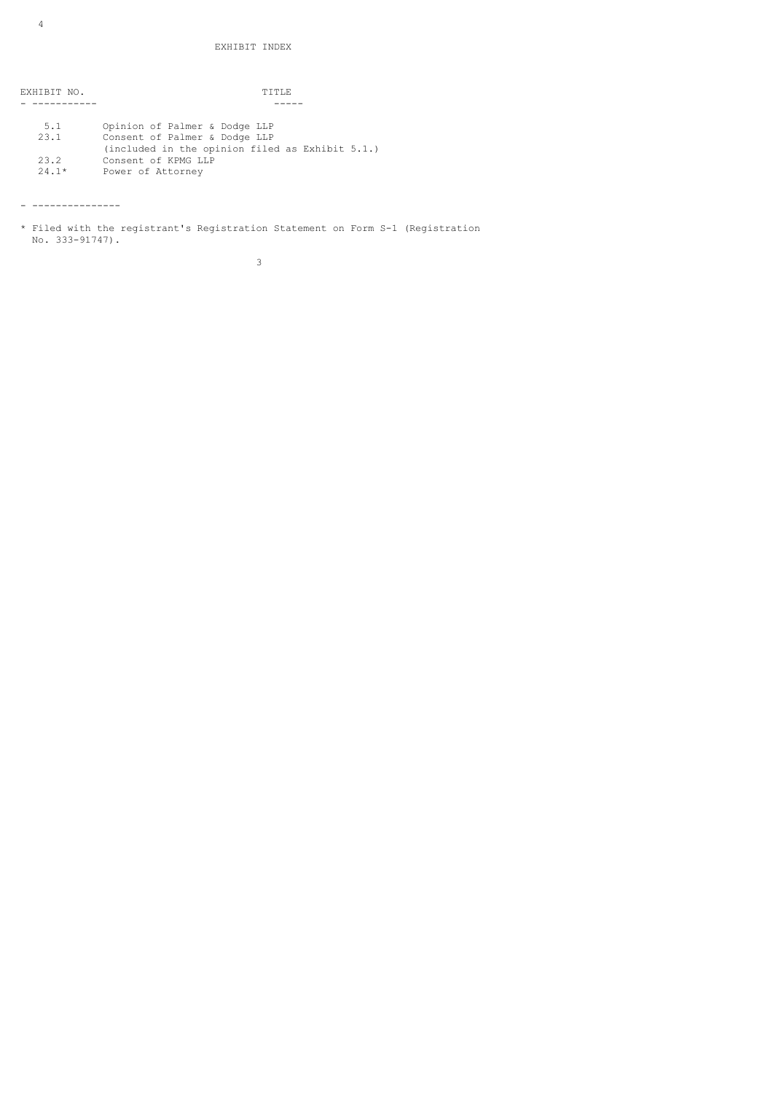EXHIBIT NO. TITLE - ----------- -----

| 5.1     | Opinion of Palmer & Dodge LLP                                 |
|---------|---------------------------------------------------------------|
| 23.1    | Consent of Palmer & Dodge LLP                                 |
|         | $(include \ in \ the \ opinion \ file \ as \ Exhibit \ 5.1.)$ |
| 23.2    | Consent of KPMG LLP                                           |
| $24.1*$ | Power of Attorney                                             |

- ---------------

 $\sim$  3

<sup>\*</sup> Filed with the registrant's Registration Statement on Form S-1 (Registration No. 333-91747).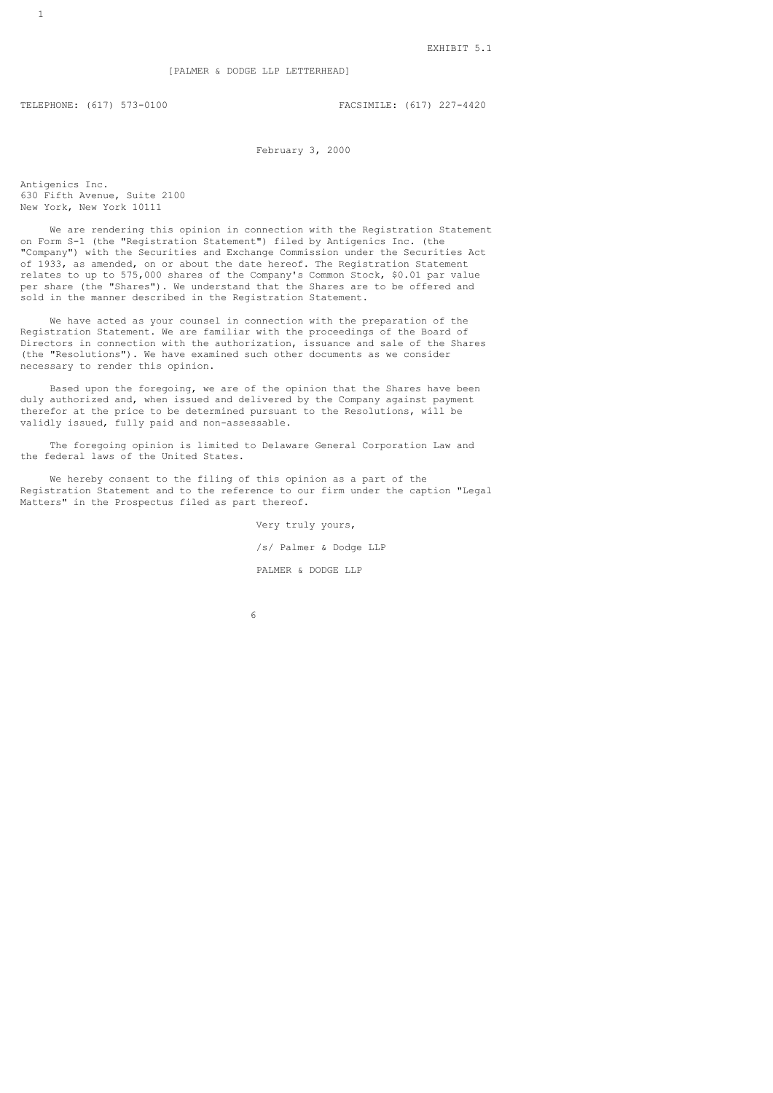TELEPHONE: (617) 573-0100 FACSIMILE: (617) 227-4420

February 3, 2000

Antigenics Inc. 630 Fifth Avenue, Suite 2100 New York, New York 10111

 We are rendering this opinion in connection with the Registration Statement on Form S-1 (the "Registration Statement") filed by Antigenics Inc. (the "Company") with the Securities and Exchange Commission under the Securities Act of 1933, as amended, on or about the date hereof. The Registration Statement relates to up to 575,000 shares of the Company's Common Stock, \$0.01 par value per share (the "Shares"). We understand that the Shares are to be offered and sold in the manner described in the Registration Statement.

 We have acted as your counsel in connection with the preparation of the Registration Statement. We are familiar with the proceedings of the Board of Directors in connection with the authorization, issuance and sale of the Shares (the "Resolutions"). We have examined such other documents as we consider necessary to render this opinion.

 Based upon the foregoing, we are of the opinion that the Shares have been duly authorized and, when issued and delivered by the Company against payment therefor at the price to be determined pursuant to the Resolutions, will be validly issued, fully paid and non-assessable.

 The foregoing opinion is limited to Delaware General Corporation Law and the federal laws of the United States.

 We hereby consent to the filing of this opinion as a part of the Registration Statement and to the reference to our firm under the caption "Legal Matters" in the Prospectus filed as part thereof.

> Very truly yours, /s/ Palmer & Dodge LLP PALMER & DODGE LLP